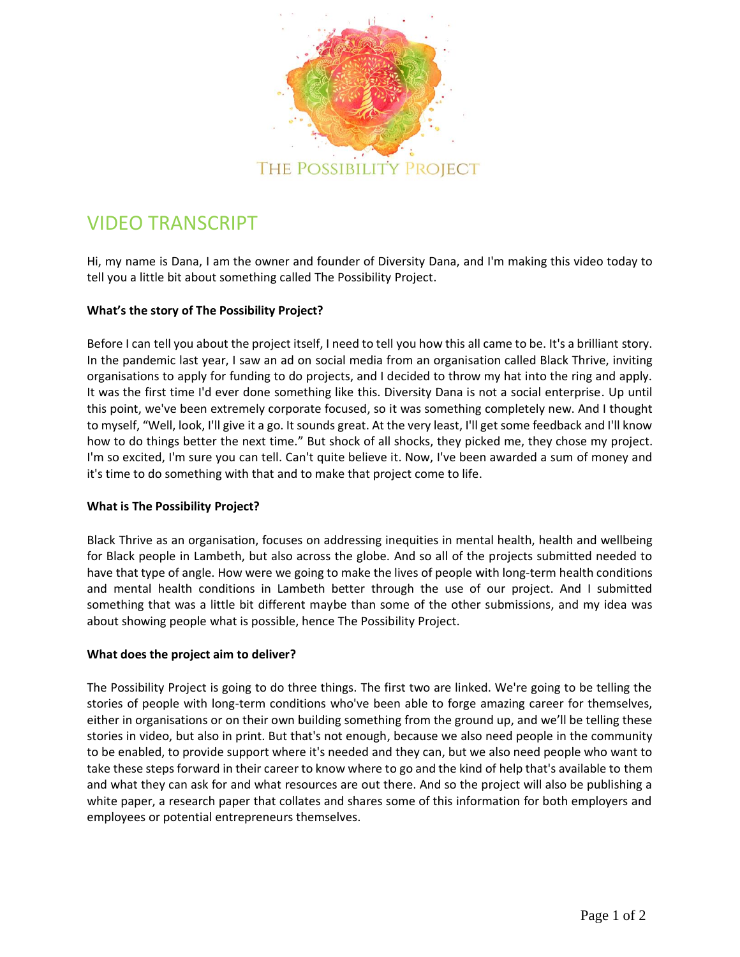

# VIDEO TRANSCRIPT

Hi, my name is Dana, I am the owner and founder of Diversity Dana, and I'm making this video today to tell you a little bit about something called The Possibility Project.

## **What's the story of The Possibility Project?**

Before I can tell you about the project itself, I need to tell you how this all came to be. It's a brilliant story. In the pandemic last year, I saw an ad on social media from an organisation called Black Thrive, inviting organisations to apply for funding to do projects, and I decided to throw my hat into the ring and apply. It was the first time I'd ever done something like this. Diversity Dana is not a social enterprise. Up until this point, we've been extremely corporate focused, so it was something completely new. And I thought to myself, "Well, look, I'll give it a go. It sounds great. At the very least, I'll get some feedback and I'll know how to do things better the next time." But shock of all shocks, they picked me, they chose my project. I'm so excited, I'm sure you can tell. Can't quite believe it. Now, I've been awarded a sum of money and it's time to do something with that and to make that project come to life.

## **What is The Possibility Project?**

Black Thrive as an organisation, focuses on addressing inequities in mental health, health and wellbeing for Black people in Lambeth, but also across the globe. And so all of the projects submitted needed to have that type of angle. How were we going to make the lives of people with long-term health conditions and mental health conditions in Lambeth better through the use of our project. And I submitted something that was a little bit different maybe than some of the other submissions, and my idea was about showing people what is possible, hence The Possibility Project.

## **What does the project aim to deliver?**

The Possibility Project is going to do three things. The first two are linked. We're going to be telling the stories of people with long-term conditions who've been able to forge amazing career for themselves, either in organisations or on their own building something from the ground up, and we'll be telling these stories in video, but also in print. But that's not enough, because we also need people in the community to be enabled, to provide support where it's needed and they can, but we also need people who want to take these steps forward in their career to know where to go and the kind of help that's available to them and what they can ask for and what resources are out there. And so the project will also be publishing a white paper, a research paper that collates and shares some of this information for both employers and employees or potential entrepreneurs themselves.